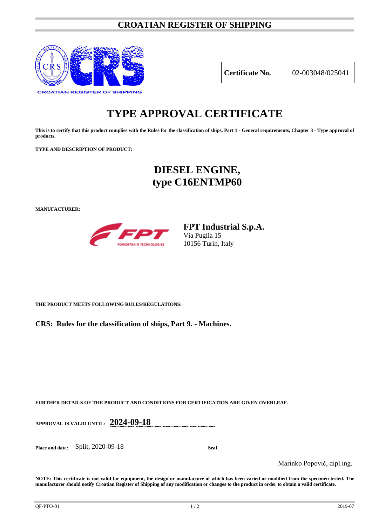## **CROATIAN REGISTER OF SHIPPING**



**Certificate No.** 02-003048/025041

# **TYPE APPROVAL CERTIFICATE**

**This is to certify that this product complies with the Rules for the classification of ships, Part 1 - General requirements, Chapter 3 - Type approval of products.**

**TYPE AND DESCRIPTION OF PRODUCT:** 

# **DIESEL ENGINE, type C16ENTMP60**

**MANUFACTURER:**



**FPT Industrial S.p.A.** Via Puglia 15 10156 Turin, Italy

**THE PRODUCT MEETS FOLLOWING RULES/REGULATIONS:**

**CRS: Rules for the classification of ships, Part 9. - Machines.**

**FURTHER DETAILS OF THE PRODUCT AND CONDITIONS FOR CERTIFICATION ARE GIVEN OVERLEAF.**

**APPROVAL IS VALID UNTIL: 2024-09-18**

**Place and date:** Split, 2020-09-18 **Seal**

Marinko Popović, dipl.ing.

**NOTE: This certificate is not valid for equipment, the design or manufacture of which has been varied or modified from the specimen tested. The manufacturer should notify Croatian Register of Shipping of any modification or changes to the product in order to obtain a valid certificate.**